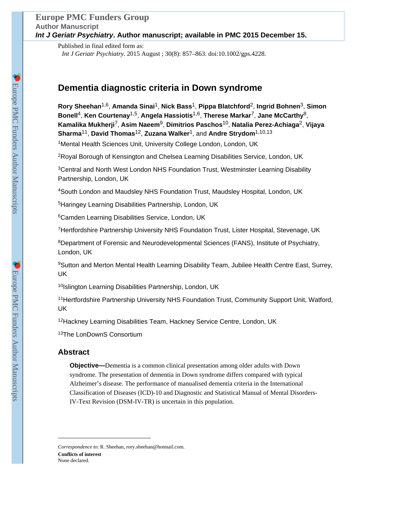Published in final edited form as: *Int J Geriatr Psychiatry*. 2015 August ; 30(8): 857–863. doi:10.1002/gps.4228.

# **Dementia diagnostic criteria in Down syndrome**

**Rory Sheehan**1,6, **Amanda Sinai**1, **Nick Bass**1, **Pippa Blatchford**2, **Ingrid Bohnen**3, **Simon Bonell**4, **Ken Courtenay**1,5, **Angela Hassiotis**1,6, **Therese Markar**7, **Jane McCarthy**8, **Kamalika Mukherji**7, **Asim Naeem**9, **Dimitrios Paschos**10, **Natalia Perez-Achiaga**2, **Vijaya Sharma**11, **David Thomas**12, **Zuzana Walker**1, and **Andre Strydom**1,10,13

<sup>1</sup>Mental Health Sciences Unit, University College London, London, UK

<sup>2</sup>Royal Borough of Kensington and Chelsea Learning Disabilities Service, London, UK

<sup>3</sup>Central and North West London NHS Foundation Trust, Westminster Learning Disability Partnership, London, UK

<sup>4</sup>South London and Maudsley NHS Foundation Trust, Maudsley Hospital, London, UK

<sup>5</sup>Haringey Learning Disabilities Partnership, London, UK

<sup>6</sup>Camden Learning Disabilities Service, London, UK

<sup>7</sup>Hertfordshire Partnership University NHS Foundation Trust, Lister Hospital, Stevenage, UK

<sup>8</sup>Department of Forensic and Neurodevelopmental Sciences (FANS), Institute of Psychiatry, London, UK

9Sutton and Merton Mental Health Learning Disability Team, Jubilee Health Centre East, Surrey, UK

10Islington Learning Disabilities Partnership, London, UK

<sup>11</sup> Hertfordshire Partnership University NHS Foundation Trust, Community Support Unit, Watford, UK

<sup>12</sup> Hackney Learning Disabilities Team, Hackney Service Centre, London, UK

13The LonDownS Consortium

# **Abstract**

**Objective—**Dementia is a common clinical presentation among older adults with Down syndrome. The presentation of dementia in Down syndrome differs compared with typical Alzheimer's disease. The performance of manualised dementia criteria in the International Classification of Diseases (ICD)-10 and Diagnostic and Statistical Manual of Mental Disorders-IV-Text Revision (DSM-IV-TR) is uncertain in this population.

*Correspondence to*: R. Sheehan, rory.sheehan@hotmail.com. **Conflicts of interest** None declared.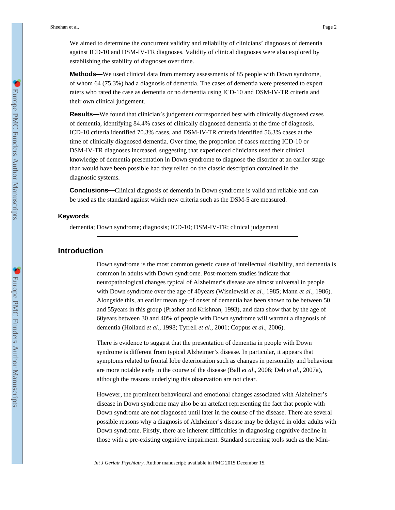We aimed to determine the concurrent validity and reliability of clinicians' diagnoses of dementia against ICD-10 and DSM-IV-TR diagnoses. Validity of clinical diagnoses were also explored by establishing the stability of diagnoses over time.

**Methods—**We used clinical data from memory assessments of 85 people with Down syndrome, of whom 64 (75.3%) had a diagnosis of dementia. The cases of dementia were presented to expert raters who rated the case as dementia or no dementia using ICD-10 and DSM-IV-TR criteria and their own clinical judgement.

**Results—**We found that clinician's judgement corresponded best with clinically diagnosed cases of dementia, identifying 84.4% cases of clinically diagnosed dementia at the time of diagnosis. ICD-10 criteria identified 70.3% cases, and DSM-IV-TR criteria identified 56.3% cases at the time of clinically diagnosed dementia. Over time, the proportion of cases meeting ICD-10 or DSM-IV-TR diagnoses increased, suggesting that experienced clinicians used their clinical knowledge of dementia presentation in Down syndrome to diagnose the disorder at an earlier stage than would have been possible had they relied on the classic description contained in the diagnostic systems.

**Conclusions—**Clinical diagnosis of dementia in Down syndrome is valid and reliable and can be used as the standard against which new criteria such as the DSM-5 are measured.

#### **Keywords**

dementia; Down syndrome; diagnosis; ICD-10; DSM-IV-TR; clinical judgement

# **Introduction**

Down syndrome is the most common genetic cause of intellectual disability, and dementia is common in adults with Down syndrome. Post-mortem studies indicate that neuropathological changes typical of Alzheimer's disease are almost universal in people with Down syndrome over the age of 40years (Wisniewski *et al*., 1985; Mann *et al*., 1986). Alongside this, an earlier mean age of onset of dementia has been shown to be between 50 and 55years in this group (Prasher and Krishnan, 1993), and data show that by the age of 60years between 30 and 40% of people with Down syndrome will warrant a diagnosis of dementia (Holland *et al*., 1998; Tyrrell *et al*., 2001; Coppus *et al*., 2006).

There is evidence to suggest that the presentation of dementia in people with Down syndrome is different from typical Alzheimer's disease. In particular, it appears that symptoms related to frontal lobe deterioration such as changes in personality and behaviour are more notable early in the course of the disease (Ball *et al*., 2006; Deb *et al*., 2007a), although the reasons underlying this observation are not clear.

However, the prominent behavioural and emotional changes associated with Alzheimer's disease in Down syndrome may also be an artefact representing the fact that people with Down syndrome are not diagnosed until later in the course of the disease. There are several possible reasons why a diagnosis of Alzheimer's disease may be delayed in older adults with Down syndrome. Firstly, there are inherent difficulties in diagnosing cognitive decline in those with a pre-existing cognitive impairment. Standard screening tools such as the Mini-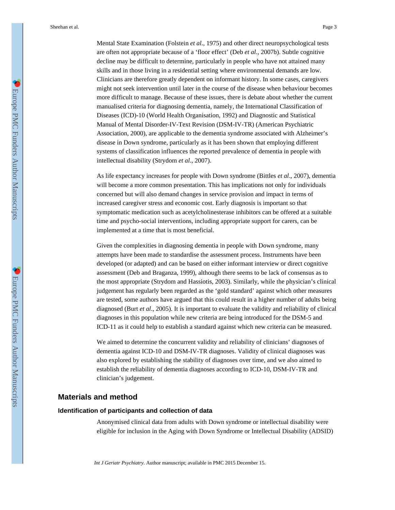Sheehan et al. Page 3

Mental State Examination (Folstein *et al*., 1975) and other direct neuropsychological tests are often not appropriate because of a 'floor effect' (Deb *et al*., 2007b). Subtle cognitive decline may be difficult to determine, particularly in people who have not attained many skills and in those living in a residential setting where environmental demands are low. Clinicians are therefore greatly dependent on informant history. In some cases, caregivers might not seek intervention until later in the course of the disease when behaviour becomes more difficult to manage. Because of these issues, there is debate about whether the current manualised criteria for diagnosing dementia, namely, the International Classification of Diseases (ICD)-10 (World Health Organisation, 1992) and Diagnostic and Statistical Manual of Mental Disorder-IV-Text Revision (DSM-IV-TR) (American Psychiatric Association, 2000), are applicable to the dementia syndrome associated with Alzheimer's disease in Down syndrome, particularly as it has been shown that employing different systems of classification influences the reported prevalence of dementia in people with intellectual disability (Strydom *et al*., 2007).

As life expectancy increases for people with Down syndrome (Bittles *et al*., 2007), dementia will become a more common presentation. This has implications not only for individuals concerned but will also demand changes in service provision and impact in terms of increased caregiver stress and economic cost. Early diagnosis is important so that symptomatic medication such as acetylcholinesterase inhibitors can be offered at a suitable time and psycho-social interventions, including appropriate support for carers, can be implemented at a time that is most beneficial.

Given the complexities in diagnosing dementia in people with Down syndrome, many attempts have been made to standardise the assessment process. Instruments have been developed (or adapted) and can be based on either informant interview or direct cognitive assessment (Deb and Braganza, 1999), although there seems to be lack of consensus as to the most appropriate (Strydom and Hassiotis, 2003). Similarly, while the physician's clinical judgement has regularly been regarded as the 'gold standard' against which other measures are tested, some authors have argued that this could result in a higher number of adults being diagnosed (Burt *et al*., 2005). It is important to evaluate the validity and reliability of clinical diagnoses in this population while new criteria are being introduced for the DSM-5 and ICD-11 as it could help to establish a standard against which new criteria can be measured.

We aimed to determine the concurrent validity and reliability of clinicians' diagnoses of dementia against ICD-10 and DSM-IV-TR diagnoses. Validity of clinical diagnoses was also explored by establishing the stability of diagnoses over time, and we also aimed to establish the reliability of dementia diagnoses according to ICD-10, DSM-IV-TR and clinician's judgement.

# **Materials and method**

#### **Identification of participants and collection of data**

Anonymised clinical data from adults with Down syndrome or intellectual disability were eligible for inclusion in the Aging with Down Syndrome or Intellectual Disability (ADSID)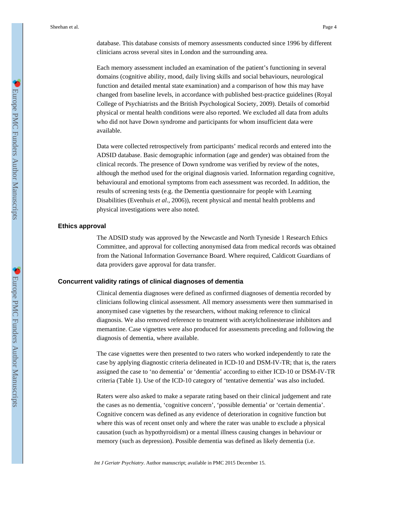database. This database consists of memory assessments conducted since 1996 by different clinicians across several sites in London and the surrounding area.

Each memory assessment included an examination of the patient's functioning in several domains (cognitive ability, mood, daily living skills and social behaviours, neurological function and detailed mental state examination) and a comparison of how this may have changed from baseline levels, in accordance with published best-practice guidelines (Royal College of Psychiatrists and the British Psychological Society, 2009). Details of comorbid physical or mental health conditions were also reported. We excluded all data from adults who did not have Down syndrome and participants for whom insufficient data were available.

Data were collected retrospectively from participants' medical records and entered into the ADSID database. Basic demographic information (age and gender) was obtained from the clinical records. The presence of Down syndrome was verified by review of the notes, although the method used for the original diagnosis varied. Information regarding cognitive, behavioural and emotional symptoms from each assessment was recorded. In addition, the results of screening tests (e.g. the Dementia questionnaire for people with Learning Disabilities (Evenhuis *et al*., 2006)), recent physical and mental health problems and physical investigations were also noted.

#### **Ethics approval**

The ADSID study was approved by the Newcastle and North Tyneside 1 Research Ethics Committee, and approval for collecting anonymised data from medical records was obtained from the National Information Governance Board. Where required, Caldicott Guardians of data providers gave approval for data transfer.

#### **Concurrent validity ratings of clinical diagnoses of dementia**

Clinical dementia diagnoses were defined as confirmed diagnoses of dementia recorded by clinicians following clinical assessment. All memory assessments were then summarised in anonymised case vignettes by the researchers, without making reference to clinical diagnosis. We also removed reference to treatment with acetylcholinesterase inhibitors and memantine. Case vignettes were also produced for assessments preceding and following the diagnosis of dementia, where available.

The case vignettes were then presented to two raters who worked independently to rate the case by applying diagnostic criteria delineated in ICD-10 and DSM-IV-TR; that is, the raters assigned the case to 'no dementia' or 'dementia' according to either ICD-10 or DSM-IV-TR criteria (Table 1). Use of the ICD-10 category of 'tentative dementia' was also included.

Raters were also asked to make a separate rating based on their clinical judgement and rate the cases as no dementia, 'cognitive concern', 'possible dementia' or 'certain dementia'. Cognitive concern was defined as any evidence of deterioration in cognitive function but where this was of recent onset only and where the rater was unable to exclude a physical causation (such as hypothyroidism) or a mental illness causing changes in behaviour or memory (such as depression). Possible dementia was defined as likely dementia (i.e.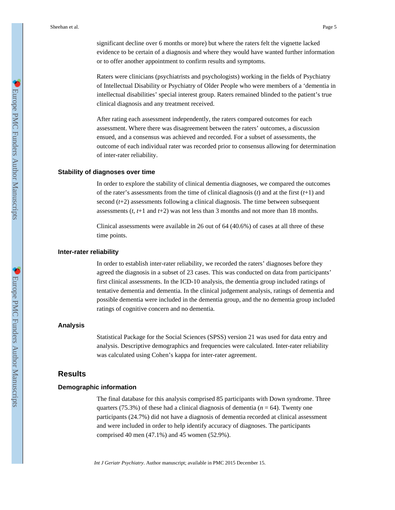significant decline over 6 months or more) but where the raters felt the vignette lacked evidence to be certain of a diagnosis and where they would have wanted further information or to offer another appointment to confirm results and symptoms.

Raters were clinicians (psychiatrists and psychologists) working in the fields of Psychiatry of Intellectual Disability or Psychiatry of Older People who were members of a 'dementia in intellectual disabilities' special interest group. Raters remained blinded to the patient's true clinical diagnosis and any treatment received.

After rating each assessment independently, the raters compared outcomes for each assessment. Where there was disagreement between the raters' outcomes, a discussion ensued, and a consensus was achieved and recorded. For a subset of assessments, the outcome of each individual rater was recorded prior to consensus allowing for determination of inter-rater reliability.

#### **Stability of diagnoses over time**

In order to explore the stability of clinical dementia diagnoses, we compared the outcomes of the rater's assessments from the time of clinical diagnosis (*t*) and at the first (*t*+1) and second (*t*+2) assessments following a clinical diagnosis. The time between subsequent assessments (*t, t*+1 and *t*+2) was not less than 3 months and not more than 18 months.

Clinical assessments were available in 26 out of 64 (40.6%) of cases at all three of these time points.

#### **Inter-rater reliability**

In order to establish inter-rater reliability, we recorded the raters' diagnoses before they agreed the diagnosis in a subset of 23 cases. This was conducted on data from participants' first clinical assessments. In the ICD-10 analysis, the dementia group included ratings of tentative dementia and dementia. In the clinical judgement analysis, ratings of dementia and possible dementia were included in the dementia group, and the no dementia group included ratings of cognitive concern and no dementia.

#### **Analysis**

Statistical Package for the Social Sciences (SPSS) version 21 was used for data entry and analysis. Descriptive demographics and frequencies were calculated. Inter-rater reliability was calculated using Cohen's kappa for inter-rater agreement.

# **Results**

#### **Demographic information**

The final database for this analysis comprised 85 participants with Down syndrome. Three quarters (75.3%) of these had a clinical diagnosis of dementia ( $n = 64$ ). Twenty one participants (24.7%) did not have a diagnosis of dementia recorded at clinical assessment and were included in order to help identify accuracy of diagnoses. The participants comprised 40 men (47.1%) and 45 women (52.9%).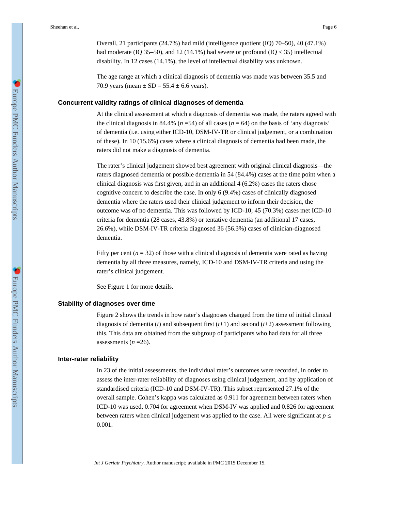Overall, 21 participants (24.7%) had mild (intelligence quotient (IQ) 70–50), 40 (47.1%) had moderate (IQ 35–50), and 12 (14.1%) had severe or profound (IQ  $<$  35) intellectual disability. In 12 cases (14.1%), the level of intellectual disability was unknown.

The age range at which a clinical diagnosis of dementia was made was between 35.5 and 70.9 years (mean  $\pm$  SD = 55.4  $\pm$  6.6 years).

#### **Concurrent validity ratings of clinical diagnoses of dementia**

At the clinical assessment at which a diagnosis of dementia was made, the raters agreed with the clinical diagnosis in 84.4% ( $n = 54$ ) of all cases ( $n = 64$ ) on the basis of 'any diagnosis' of dementia (i.e. using either ICD-10, DSM-IV-TR or clinical judgement, or a combination of these). In 10 (15.6%) cases where a clinical diagnosis of dementia had been made, the raters did not make a diagnosis of dementia.

The rater's clinical judgement showed best agreement with original clinical diagnosis—the raters diagnosed dementia or possible dementia in 54 (84.4%) cases at the time point when a clinical diagnosis was first given, and in an additional 4 (6.2%) cases the raters chose cognitive concern to describe the case. In only 6 (9.4%) cases of clinically diagnosed dementia where the raters used their clinical judgement to inform their decision, the outcome was of no dementia. This was followed by ICD-10; 45 (70.3%) cases met ICD-10 criteria for dementia (28 cases, 43.8%) or tentative dementia (an additional 17 cases, 26.6%), while DSM-IV-TR criteria diagnosed 36 (56.3%) cases of clinician-diagnosed dementia.

Fifty per cent  $(n = 32)$  of those with a clinical diagnosis of dementia were rated as having dementia by all three measures, namely, ICD-10 and DSM-IV-TR criteria and using the rater's clinical judgement.

See Figure 1 for more details.

#### **Stability of diagnoses over time**

Figure 2 shows the trends in how rater's diagnoses changed from the time of initial clinical diagnosis of dementia (*t*) and subsequent first (*t*+1) and second (*t*+2) assessment following this. This data are obtained from the subgroup of participants who had data for all three assessments  $(n=26)$ .

#### **Inter-rater reliability**

In 23 of the initial assessments, the individual rater's outcomes were recorded, in order to assess the inter-rater reliability of diagnoses using clinical judgement, and by application of standardised criteria (ICD-10 and DSM-IV-TR). This subset represented 27.1% of the overall sample. Cohen's kappa was calculated as 0.911 for agreement between raters when ICD-10 was used, 0.704 for agreement when DSM-IV was applied and 0.826 for agreement between raters when clinical judgement was applied to the case. All were significant at  $p$ 0.001.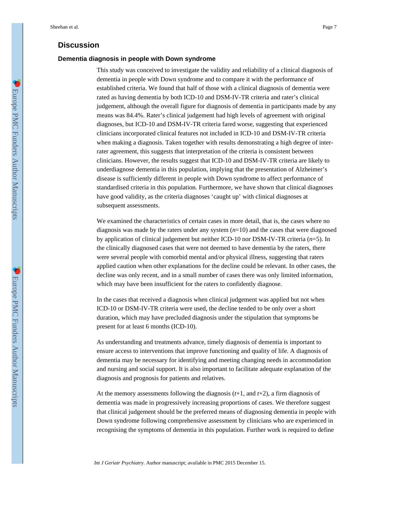# **Discussion**

#### **Dementia diagnosis in people with Down syndrome**

This study was conceived to investigate the validity and reliability of a clinical diagnosis of dementia in people with Down syndrome and to compare it with the performance of established criteria. We found that half of those with a clinical diagnosis of dementia were rated as having dementia by both ICD-10 and DSM-IV-TR criteria and rater's clinical judgement, although the overall figure for diagnosis of dementia in participants made by any means was 84.4%. Rater's clinical judgement had high levels of agreement with original diagnoses, but ICD-10 and DSM-IV-TR criteria fared worse, suggesting that experienced clinicians incorporated clinical features not included in ICD-10 and DSM-IV-TR criteria when making a diagnosis. Taken together with results demonstrating a high degree of interrater agreement, this suggests that interpretation of the criteria is consistent between clinicians. However, the results suggest that ICD-10 and DSM-IV-TR criteria are likely to underdiagnose dementia in this population, implying that the presentation of Alzheimer's disease is sufficiently different in people with Down syndrome to affect performance of standardised criteria in this population. Furthermore, we have shown that clinical diagnoses have good validity, as the criteria diagnoses 'caught up' with clinical diagnoses at subsequent assessments.

We examined the characteristics of certain cases in more detail, that is, the cases where no diagnosis was made by the raters under any system (*n*=10) and the cases that were diagnosed by application of clinical judgement but neither ICD-10 nor DSM-IV-TR criteria (*n*=5). In the clinically diagnosed cases that were not deemed to have dementia by the raters, there were several people with comorbid mental and/or physical illness, suggesting that raters applied caution when other explanations for the decline could be relevant. In other cases, the decline was only recent, and in a small number of cases there was only limited information, which may have been insufficient for the raters to confidently diagnose.

In the cases that received a diagnosis when clinical judgement was applied but not when ICD-10 or DSM-IV-TR criteria were used, the decline tended to be only over a short duration, which may have precluded diagnosis under the stipulation that symptoms be present for at least 6 months (ICD-10).

As understanding and treatments advance, timely diagnosis of dementia is important to ensure access to interventions that improve functioning and quality of life. A diagnosis of dementia may be necessary for identifying and meeting changing needs in accommodation and nursing and social support. It is also important to facilitate adequate explanation of the diagnosis and prognosis for patients and relatives.

At the memory assessments following the diagnosis (*t*+1, and *t*+2), a firm diagnosis of dementia was made in progressively increasing proportions of cases. We therefore suggest that clinical judgement should be the preferred means of diagnosing dementia in people with Down syndrome following comprehensive assessment by clinicians who are experienced in recognising the symptoms of dementia in this population. Further work is required to define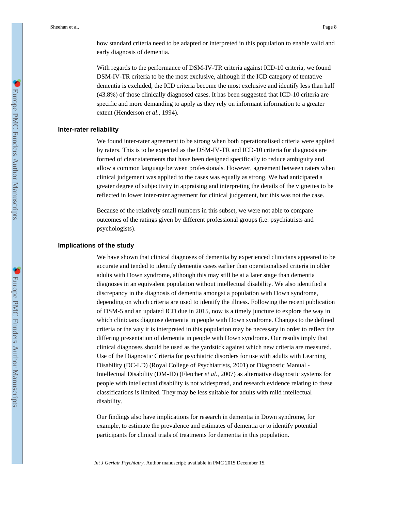Sheehan et al. Page 8

how standard criteria need to be adapted or interpreted in this population to enable valid and early diagnosis of dementia.

With regards to the performance of DSM-IV-TR criteria against ICD-10 criteria, we found DSM-IV-TR criteria to be the most exclusive, although if the ICD category of tentative dementia is excluded, the ICD criteria become the most exclusive and identify less than half (43.8%) of those clinically diagnosed cases. It has been suggested that ICD-10 criteria are specific and more demanding to apply as they rely on informant information to a greater extent (Henderson *et al*., 1994).

#### **Inter-rater reliability**

We found inter-rater agreement to be strong when both operationalised criteria were applied by raters. This is to be expected as the DSM-IV-TR and ICD-10 criteria for diagnosis are formed of clear statements that have been designed specifically to reduce ambiguity and allow a common language between professionals. However, agreement between raters when clinical judgement was applied to the cases was equally as strong. We had anticipated a greater degree of subjectivity in appraising and interpreting the details of the vignettes to be reflected in lower inter-rater agreement for clinical judgement, but this was not the case.

Because of the relatively small numbers in this subset, we were not able to compare outcomes of the ratings given by different professional groups (i.e. psychiatrists and psychologists).

#### **Implications of the study**

We have shown that clinical diagnoses of dementia by experienced clinicians appeared to be accurate and tended to identify dementia cases earlier than operationalised criteria in older adults with Down syndrome, although this may still be at a later stage than dementia diagnoses in an equivalent population without intellectual disability. We also identified a discrepancy in the diagnosis of dementia amongst a population with Down syndrome, depending on which criteria are used to identify the illness. Following the recent publication of DSM-5 and an updated ICD due in 2015, now is a timely juncture to explore the way in which clinicians diagnose dementia in people with Down syndrome. Changes to the defined criteria or the way it is interpreted in this population may be necessary in order to reflect the differing presentation of dementia in people with Down syndrome. Our results imply that clinical diagnoses should be used as the yardstick against which new criteria are measured. Use of the Diagnostic Criteria for psychiatric disorders for use with adults with Learning Disability (DC-LD) (Royal College of Psychiatrists, 2001) or Diagnostic Manual - Intellectual Disability (DM-ID) (Fletcher *et al*., 2007) as alternative diagnostic systems for people with intellectual disability is not widespread, and research evidence relating to these classifications is limited. They may be less suitable for adults with mild intellectual disability.

Our findings also have implications for research in dementia in Down syndrome, for example, to estimate the prevalence and estimates of dementia or to identify potential participants for clinical trials of treatments for dementia in this population.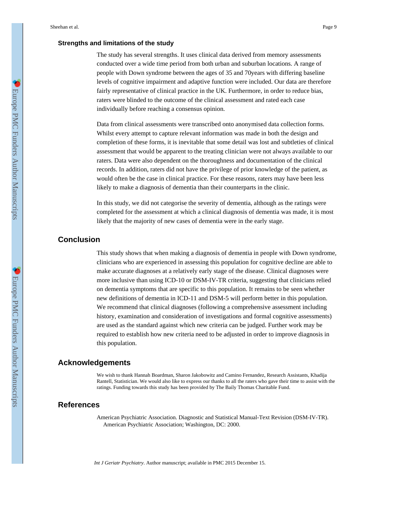#### **Strengths and limitations of the study**

The study has several strengths. It uses clinical data derived from memory assessments conducted over a wide time period from both urban and suburban locations. A range of people with Down syndrome between the ages of 35 and 70years with differing baseline levels of cognitive impairment and adaptive function were included. Our data are therefore fairly representative of clinical practice in the UK. Furthermore, in order to reduce bias, raters were blinded to the outcome of the clinical assessment and rated each case individually before reaching a consensus opinion.

Data from clinical assessments were transcribed onto anonymised data collection forms. Whilst every attempt to capture relevant information was made in both the design and completion of these forms, it is inevitable that some detail was lost and subtleties of clinical assessment that would be apparent to the treating clinician were not always available to our raters. Data were also dependent on the thoroughness and documentation of the clinical records. In addition, raters did not have the privilege of prior knowledge of the patient, as would often be the case in clinical practice. For these reasons, raters may have been less likely to make a diagnosis of dementia than their counterparts in the clinic.

In this study, we did not categorise the severity of dementia, although as the ratings were completed for the assessment at which a clinical diagnosis of dementia was made, it is most likely that the majority of new cases of dementia were in the early stage.

# **Conclusion**

This study shows that when making a diagnosis of dementia in people with Down syndrome, clinicians who are experienced in assessing this population for cognitive decline are able to make accurate diagnoses at a relatively early stage of the disease. Clinical diagnoses were more inclusive than using ICD-10 or DSM-IV-TR criteria, suggesting that clinicians relied on dementia symptoms that are specific to this population. It remains to be seen whether new definitions of dementia in ICD-11 and DSM-5 will perform better in this population. We recommend that clinical diagnoses (following a comprehensive assessment including history, examination and consideration of investigations and formal cognitive assessments) are used as the standard against which new criteria can be judged. Further work may be required to establish how new criteria need to be adjusted in order to improve diagnosis in this population.

### **Acknowledgements**

We wish to thank Hannah Boardman, Sharon Jakobowitz and Camino Fernandez, Research Assistants, Khadija Rantell, Statistician. We would also like to express our thanks to all the raters who gave their time to assist with the ratings. Funding towards this study has been provided by The Baily Thomas Charitable Fund.

# **References**

American Psychiatric Association. Diagnostic and Statistical Manual-Text Revision (DSM-IV-TR). American Psychiatric Association; Washington, DC: 2000.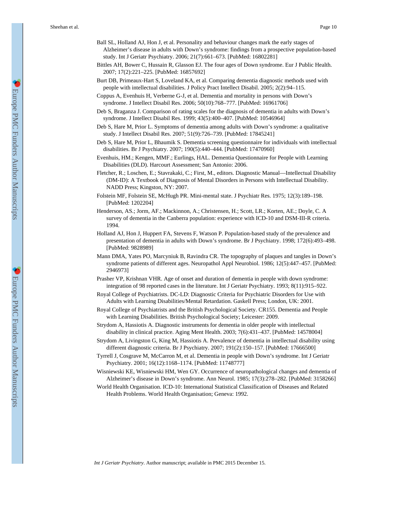- Ball SL, Holland AJ, Hon J, et al. Personality and behaviour changes mark the early stages of Alzheimer's disease in adults with Down's syndrome: findings from a prospective population-based study. Int J Geriatr Psychiatry. 2006; 21(7):661–673. [PubMed: 16802281]
- Bittles AH, Bower C, Hussain R, Glasson EJ. The four ages of Down syndrome. Eur J Public Health. 2007; 17(2):221–225. [PubMed: 16857692]
- Burt DB, Primeaux-Hart S, Loveland KA, et al. Comparing dementia diagnostic methods used with people with intellectual disabilities. J Policy Pract Intellect Disabil. 2005; 2(2):94–115.
- Coppus A, Evenhuis H, Verberne G-J, et al. Dementia and mortality in persons with Down's syndrome. J Intellect Disabil Res. 2006; 50(10):768–777. [PubMed: 16961706]
- Deb S, Braganza J. Comparison of rating scales for the diagnosis of dementia in adults with Down's syndrome. J Intellect Disabil Res. 1999; 43(5):400–407. [PubMed: 10546964]
- Deb S, Hare M, Prior L. Symptoms of dementia among adults with Down's syndrome: a qualitative study. J Intellect Disabil Res. 2007; 51(9):726–739. [PubMed: 17845241]
- Deb S, Hare M, Prior L, Bhaumik S. Dementia screening questionnaire for individuals with intellectual disabilities. Br J Psychiatry. 2007; 190(5):440–444. [PubMed: 17470960]
- Evenhuis, HM.; Kengen, MMF.; Eurlings, HAL. Dementia Questionnaire for People with Learning Disabilities (DLD). Harcourt Assessment; San Antonio: 2006.
- Fletcher, R.; Loschen, E.; Stavrakaki, C.; First, M., editors. Diagnostic Manual—Intellectual Disability (DM-ID): A Textbook of Diagnosis of Mental Disorders in Persons with Intellectual Disability. NADD Press; Kingston, NY: 2007.
- Folstein MF, Folstein SE, McHugh PR. Mini-mental state. J Psychiatr Res. 1975; 12(3):189–198. [PubMed: 1202204]
- Henderson, AS.; Jorm, AF.; Mackinnon, A.; Christensen, H.; Scott, LR.; Korten, AE.; Doyle, C. A survey of dementia in the Canberra population: experience with ICD-10 and DSM-III-R criteria. 1994.
- Holland AJ, Hon J, Huppert FA, Stevens F, Watson P. Population-based study of the prevalence and presentation of dementia in adults with Down's syndrome. Br J Psychiatry. 1998; 172(6):493–498. [PubMed: 9828989]
- Mann DMA, Yates PO, Marcyniuk B, Ravindra CR. The topography of plaques and tangles in Down's syndrome patients of different ages. Neuropathol Appl Neurobiol. 1986; 12(5):447–457. [PubMed: 2946973]
- Prasher VP, Krishnan VHR. Age of onset and duration of dementia in people with down syndrome: integration of 98 reported cases in the literature. Int J Geriatr Psychiatry. 1993; 8(11):915–922.
- Royal College of Psychiatrists. DC-LD: Diagnostic Criteria for Psychiatric Disorders for Use with Adults with Learning Disabilities/Mental Retardation. Gaskell Press; London, UK: 2001.
- Royal College of Psychiatrists and the British Psychological Society. CR155. Dementia and People with Learning Disabilities. British Psychological Society; Leicester: 2009.
- Strydom A, Hassiotis A. Diagnostic instruments for dementia in older people with intellectual disability in clinical practice. Aging Ment Health. 2003; 7(6):431–437. [PubMed: 14578004]
- Strydom A, Livingston G, King M, Hassiotis A. Prevalence of dementia in intellectual disability using different diagnostic criteria. Br J Psychiatry. 2007; 191(2):150–157. [PubMed: 17666500]
- Tyrrell J, Cosgrave M, McCarron M, et al. Dementia in people with Down's syndrome. Int J Geriatr Psychiatry. 2001; 16(12):1168–1174. [PubMed: 11748777]
- Wisniewski KE, Wisniewski HM, Wen GY. Occurrence of neuropathological changes and dementia of Alzheimer's disease in Down's syndrome. Ann Neurol. 1985; 17(3):278–282. [PubMed: 3158266]
- World Health Organisation. ICD-10: International Statistical Classification of Diseases and Related Health Problems. World Health Organisation; Geneva: 1992.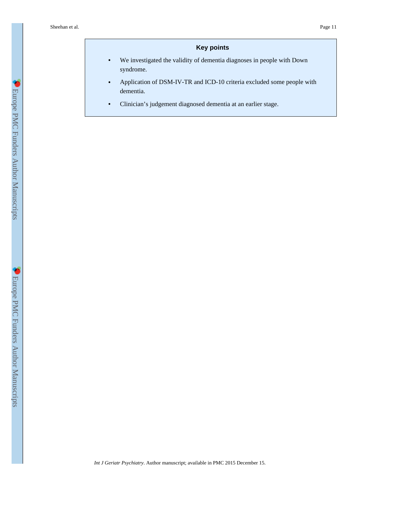# **Key points**

- **•** We investigated the validity of dementia diagnoses in people with Down syndrome.
- **•** Application of DSM-IV-TR and ICD-10 criteria excluded some people with dementia.
- **•** Clinician's judgement diagnosed dementia at an earlier stage.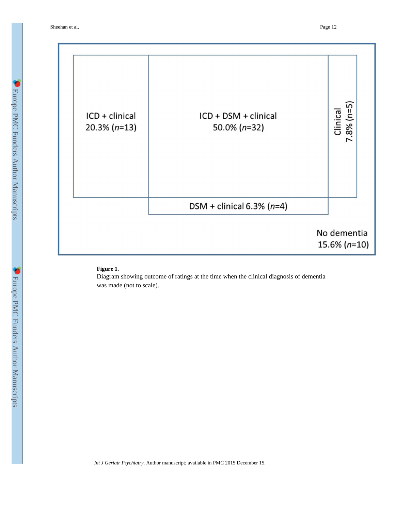

#### **Figure 1.**

Diagram showing outcome of ratings at the time when the clinical diagnosis of dementia was made (not to scale).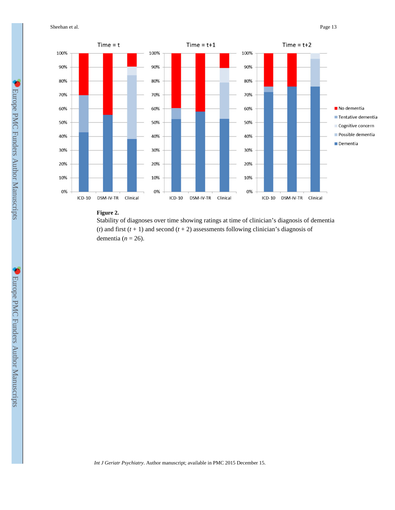Sheehan et al. Page 13



# **Figure 2.**

Stability of diagnoses over time showing ratings at time of clinician's diagnosis of dementia (*t*) and first  $(t + 1)$  and second  $(t + 2)$  assessments following clinician's diagnosis of dementia ( $n = 26$ ).